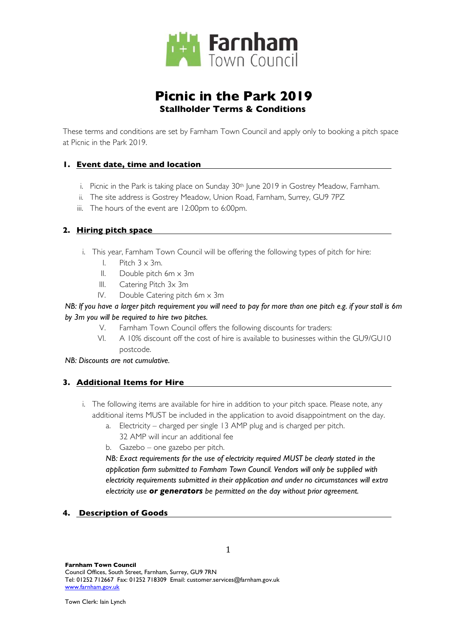

# **Picnic in the Park 2019 Stallholder Terms & Conditions**

These terms and conditions are set by Farnham Town Council and apply only to booking a pitch space at Picnic in the Park 2019.

# **1. Event date, time and location**

- i. Picnic in the Park is taking place on Sunday 30<sup>th</sup> June 2019 in Gostrey Meadow, Farnham.
- ii. The site address is Gostrey Meadow, Union Road, Farnham, Surrey, GU9 7PZ
- iii. The hours of the event are 12:00pm to 6:00pm.

# **2. Hiring pitch space**

- i. This year, Farnham Town Council will be offering the following types of pitch for hire:
	- I. Pitch  $3 \times 3m$ .
	- II. Double pitch 6m x 3m
	- III. Catering Pitch 3x 3m
	- IV. Double Catering pitch 6m x 3m

## *NB: If you have a larger pitch requirement you will need to pay for more than one pitch e.g. if your stall is 6m by 3m you will be required to hire two pitches.*

- V. Farnham Town Council offers the following discounts for traders:
- VI. A 10% discount off the cost of hire is available to businesses within the GU9/GU10 postcode.

*NB: Discounts are not cumulative.*

#### **3. Additional Items for Hire**

- i. The following items are available for hire in addition to your pitch space. Please note, any additional items MUST be included in the application to avoid disappointment on the day.
	- a. Electricity charged per single 13 AMP plug and is charged per pitch.
		- 32 AMP will incur an additional fee
	- b. Gazebo one gazebo per pitch.

*NB: Exact requirements for the use of electricity required MUST be clearly stated in the application form submitted to Farnham Town Council. Vendors will only be supplied with electricity requirements submitted in their application and under no circumstances will extra electricity use or generators be permitted on the day without prior agreement.*

#### **4. Description of Goods**

1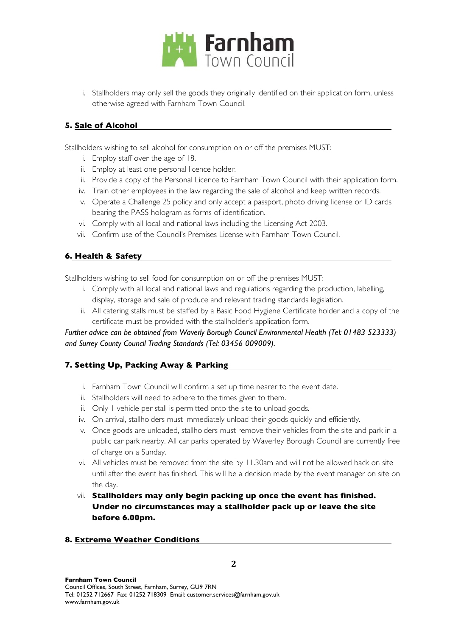

i. Stallholders may only sell the goods they originally identified on their application form, unless otherwise agreed with Farnham Town Council.

#### **5. Sale of Alcohol**

Stallholders wishing to sell alcohol for consumption on or off the premises MUST:

- i. Employ staff over the age of 18.
- ii. Employ at least one personal licence holder.
- iii. Provide a copy of the Personal Licence to Farnham Town Council with their application form.
- iv. Train other employees in the law regarding the sale of alcohol and keep written records.
- v. Operate a Challenge 25 policy and only accept a passport, photo driving license or ID cards bearing the PASS hologram as forms of identification.
- vi. Comply with all local and national laws including the Licensing Act 2003.
- vii. Confirm use of the Council's Premises License with Farnham Town Council.

# **6. Health & Safety**

Stallholders wishing to sell food for consumption on or off the premises MUST:

- i. Comply with all local and national laws and regulations regarding the production, labelling, display, storage and sale of produce and relevant trading standards legislation.
- ii. All catering stalls must be staffed by a Basic Food Hygiene Certificate holder and a copy of the certificate must be provided with the stallholder's application form.

*Further advice can be obtained from Waverly Borough Council Environmental Health (Tel: 01483 523333) and Surrey County Council Trading Standards (Tel: 03456 009009).*

#### **7. Setting Up, Packing Away & Parking**

- i. Farnham Town Council will confirm a set up time nearer to the event date.
- ii. Stallholders will need to adhere to the times given to them.
- iii. Only I vehicle per stall is permitted onto the site to unload goods.
- iv. On arrival, stallholders must immediately unload their goods quickly and efficiently.
- v. Once goods are unloaded, stallholders must remove their vehicles from the site and park in a public car park nearby. All car parks operated by Waverley Borough Council are currently free of charge on a Sunday.
- vi. All vehicles must be removed from the site by 11.30am and will not be allowed back on site until after the event has finished. This will be a decision made by the event manager on site on the day.
- vii. **Stallholders may only begin packing up once the event has finished. Under no circumstances may a stallholder pack up or leave the site before 6.00pm.**

#### **8. Extreme Weather Conditions**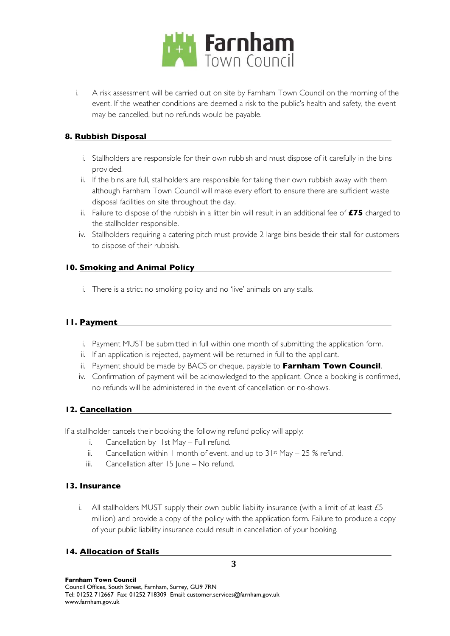

i. A risk assessment will be carried out on site by Farnham Town Council on the morning of the event. If the weather conditions are deemed a risk to the public's health and safety, the event may be cancelled, but no refunds would be payable.

## **8. Rubbish Disposal**

- i. Stallholders are responsible for their own rubbish and must dispose of it carefully in the bins provided.
- ii. If the bins are full, stallholders are responsible for taking their own rubbish away with them although Farnham Town Council will make every effort to ensure there are sufficient waste disposal facilities on site throughout the day.
- iii. Failure to dispose of the rubbish in a litter bin will result in an additional fee of **£75** charged to the stallholder responsible.
- iv. Stallholders requiring a catering pitch must provide 2 large bins beside their stall for customers to dispose of their rubbish.

# **10. Smoking and Animal Policy**

i. There is a strict no smoking policy and no 'live' animals on any stalls.

# **11. Payment**

- i. Payment MUST be submitted in full within one month of submitting the application form.
- ii. If an application is rejected, payment will be returned in full to the applicant.
- iii. Payment should be made by BACS or cheque, payable to **Farnham Town Council**.
- iv. Confirmation of payment will be acknowledged to the applicant. Once a booking is confirmed, no refunds will be administered in the event of cancellation or no-shows.

# **12. Cancellation**

If a stallholder cancels their booking the following refund policy will apply:

- i. Cancellation by 1st May Full refund.
- ii. Cancellation within 1 month of event, and up to  $31st$  May 25 % refund.
- iii. Cancellation after  $15$  June No refund.

#### **13. Insurance**

i. All stallholders MUST supply their own public liability insurance (with a limit of at least  $£5$ million) and provide a copy of the policy with the application form. Failure to produce a copy of your public liability insurance could result in cancellation of your booking.

## **14. Allocation of Stalls**

**Farnham Town Council** Council Offices, South Street, Farnham, Surrey, GU9 7RN Tel: 01252 712667 Fax: 01252 718309 Email: customer.services@farnham.gov.uk www.farnham.gov.uk